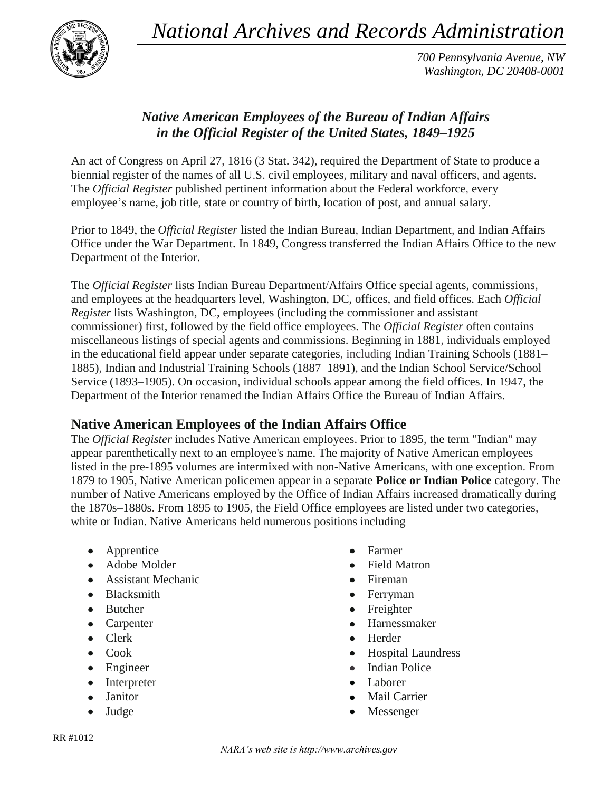*National Archives and Records Administration*



*700 Pennsylvania Avenue, NW Washington, DC 20408-0001*

## *Native American Employees of the Bureau of Indian Affairs in the Official Register of the United States, 1849–1925*

An act of Congress on April 27, 1816 (3 Stat. 342), required the Department of State to produce a biennial register of the names of all U.S. civil employees, military and naval officers, and agents. The *Official Register* published pertinent information about the Federal workforce, every employee's name, job title, state or country of birth, location of post, and annual salary.

Prior to 1849, the *Official Register* listed the Indian Bureau, Indian Department, and Indian Affairs Office under the War Department. In 1849, Congress transferred the Indian Affairs Office to the new Department of the Interior.

The *Official Register* lists Indian Bureau Department/Affairs Office special agents, commissions, and employees at the headquarters level, Washington, DC, offices, and field offices. Each *Official Register* lists Washington, DC, employees (including the commissioner and assistant commissioner) first, followed by the field office employees. The *Official Register* often contains miscellaneous listings of special agents and commissions. Beginning in 1881, individuals employed in the educational field appear under separate categories, including Indian Training Schools (1881– 1885), Indian and Industrial Training Schools (1887–1891), and the Indian School Service/School Service (1893–1905). On occasion, individual schools appear among the field offices. In 1947, the Department of the Interior renamed the Indian Affairs Office the Bureau of Indian Affairs.

## **Native American Employees of the Indian Affairs Office**

The *Official Register* includes Native American employees. Prior to 1895, the term "Indian" may appear parenthetically next to an employee's name. The majority of Native American employees listed in the pre-1895 volumes are intermixed with non-Native Americans, with one exception. From 1879 to 1905, Native American policemen appear in a separate **Police or Indian Police** category. The number of Native Americans employed by the Office of Indian Affairs increased dramatically during the 1870s–1880s. From 1895 to 1905, the Field Office employees are listed under two categories, white or Indian. Native Americans held numerous positions including

- $\bullet$ Apprentice
- Adobe Molder
- Assistant Mechanic
- Blacksmith
- Butcher
- Carpenter
- Clerk
- Cook
- Engineer
- Interpreter  $\bullet$
- Janitor  $\bullet$
- Judge
- Farmer
- Field Matron
- Fireman
- Ferryman
- Freighter  $\bullet$
- Harnessmaker  $\bullet$
- Herder
- Hospital Laundress  $\bullet$
- Indian Police  $\bullet$
- Laborer  $\bullet$
- Mail Carrier
- Messenger